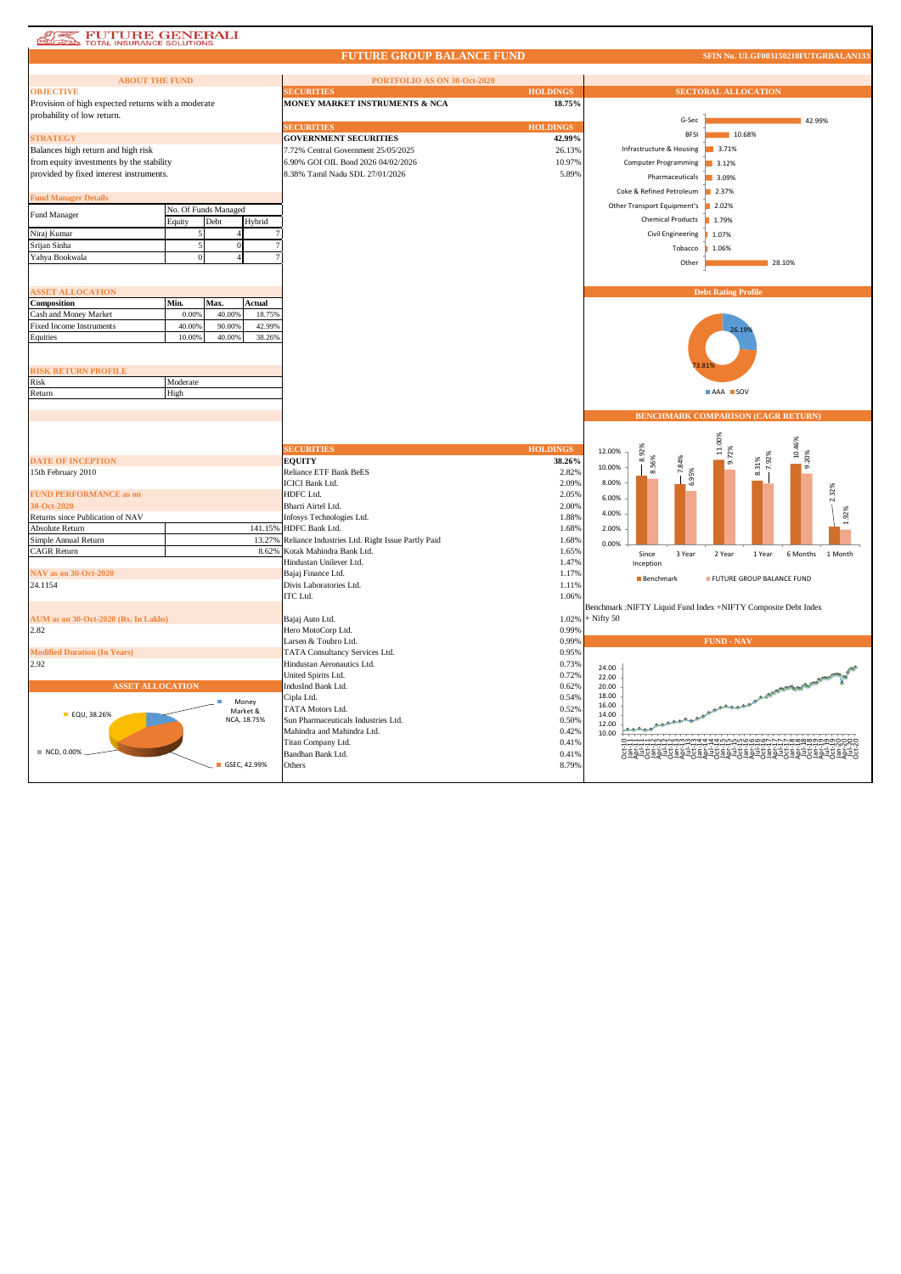| <b>FUTURE GENERALI</b><br>TOTAL INSURANCE SOLUTIONS |                            |                                                  |                 |                                                                |
|-----------------------------------------------------|----------------------------|--------------------------------------------------|-----------------|----------------------------------------------------------------|
|                                                     |                            | <b>FUTURE GROUP BALANCE FUND</b>                 |                 | SFIN No. ULGF003150210FUTGRBALAN133                            |
| <b>ABOUT THE FUND</b>                               |                            | PORTFOLIO AS ON 30-Oct-2020                      |                 |                                                                |
| <b>OBJECTIVE</b>                                    |                            | <b>ECURITIES</b>                                 | <b>HOLDINGS</b> | <b>SECTORAL ALLOCATION</b>                                     |
| Provision of high expected returns with a moderate  |                            | MONEY MARKET INSTRUMENTS & NCA                   | 18.75%          |                                                                |
| probability of low return.                          |                            |                                                  |                 | G-Sec<br>42.99%                                                |
|                                                     |                            | <b>SECURITIES</b>                                | <b>HOLDINGS</b> |                                                                |
| <b>STRATEGY</b>                                     |                            | <b>GOVERNMENT SECURITIES</b>                     | 42.99%          | <b>BFSI</b><br>10.68%                                          |
| Balances high return and high risk                  |                            | 7.72% Central Government 25/05/2025              | 26.13%          | Infrastructure & Housing<br>3.71%                              |
| from equity investments by the stability            |                            | 6.90% GOI OIL Bond 2026 04/02/2026               | 10.97%          | <b>Computer Programming</b><br>3.12%                           |
| provided by fixed interest instruments.             |                            | 8.38% Tamil Nadu SDL 27/01/2026                  | 5.89%           | Pharmaceuticals<br>3.09%                                       |
|                                                     |                            |                                                  |                 | Coke & Refined Petroleum<br>2.37%                              |
| <b>Fund Manager Details</b>                         | No. Of Funds Managed       |                                                  |                 | Other Transport Equipment's<br>2.02%                           |
| Fund Manager                                        | Debt<br>Equity<br>Hybrid   |                                                  |                 | <b>Chemical Products</b><br>1.79%                              |
| Niraj Kumar                                         |                            |                                                  |                 | Civil Engineering<br>1.07%                                     |
| Srijan Sinha                                        |                            |                                                  |                 |                                                                |
| Yahya Bookwala                                      |                            |                                                  |                 | Tobacco<br>1.06%                                               |
|                                                     |                            |                                                  |                 | Other<br>28.10%                                                |
|                                                     |                            |                                                  |                 |                                                                |
| <b>SSET ALLOCATION</b>                              |                            |                                                  |                 | <b>Debt Rating Profile</b>                                     |
| Composition                                         | Min.<br>Max.<br>Actual     |                                                  |                 |                                                                |
| Cash and Money Market                               | 0.00%<br>40.00%<br>18.75%  |                                                  |                 |                                                                |
| <b>Fixed Income Instruments</b>                     | 40.009<br>90,00%<br>42.99% |                                                  |                 |                                                                |
| Equities                                            | 10.009<br>40.00%<br>38.26% |                                                  |                 |                                                                |
|                                                     |                            |                                                  |                 |                                                                |
| <b>RISK RETURN PROFILE</b>                          |                            |                                                  |                 |                                                                |
| Risk                                                | Moderate                   |                                                  |                 |                                                                |
| Return                                              | High                       |                                                  |                 | AAA SOV                                                        |
|                                                     |                            |                                                  |                 |                                                                |
|                                                     |                            |                                                  |                 |                                                                |
|                                                     |                            |                                                  |                 | <b>BENCHMARK COMPARISON (CAGR RETURN)</b>                      |
|                                                     |                            |                                                  |                 |                                                                |
|                                                     |                            |                                                  |                 |                                                                |
|                                                     |                            | <b>ECURITIES</b>                                 | <b>HOLDINGS</b> | 11.00%<br>10.46%<br>72%<br>12.00%                              |
| <b>DATE OF INCEPTION</b>                            |                            | <b>EQUITY</b>                                    | 38.26%          | 8.92%<br>9.20%<br>7.92%<br>10.00%                              |
| 15th February 2010                                  |                            | <b>Reliance ETF Bank BeES</b>                    | 2.82%           | 8.56%<br>8.31%<br>95%<br>8.00%                                 |
|                                                     |                            | <b>ICICI Bank Ltd.</b><br>HDFC Ltd.              | 2.09%<br>2.05%  |                                                                |
| <b>FUND PERFORMANCE as on</b><br>30-Oct-2020        |                            | Bharti Airtel Ltd.                               | 2.00%           | 6.00%                                                          |
| Returns since Publication of NAV                    |                            | Infosys Technologies Ltd.                        | 1.88%           | 4.00%                                                          |
| Absolute Return                                     | 141.15%                    | HDFC Bank Ltd.                                   | 1.68%           | 2.00%                                                          |
| Simple Annual Return                                | 13.27%                     | Reliance Industries Ltd. Right Issue Partly Paid | 1.68%           | 0.00%                                                          |
| <b>CAGR Return</b>                                  | 8.62%                      | Kotak Mahindra Bank Ltd.                         | 1.65%           | 3 Year<br>2 Year<br>6 Months<br>1 Month<br>Since<br>1 Year     |
|                                                     |                            | Hindustan Unilever Ltd.                          | 1.47%           | Inception                                                      |
| <b>NAV</b> as on 30-Oct-2020                        |                            | Bajaj Finance Ltd.                               | 1.17%           | <b>Benchmark</b><br>FUTURE GROUP BALANCE FUND                  |
| 24.1154                                             |                            | Divis Laboratories Ltd.                          | 1.11%           |                                                                |
|                                                     |                            | ITC Ltd.                                         | 1.06%           |                                                                |
|                                                     |                            |                                                  |                 | Benchmark :NIFTY Liquid Fund Index +NIFTY Composite Debt Index |
| AUM as on 30-Oct-2020 (Rs. In Lakhs)<br>2.82        |                            | Bajaj Auto Ltd.<br>Hero MotoCorp Ltd.            | 1.02%<br>0.99%  | $+$ Nifty 50                                                   |
|                                                     |                            | Larsen & Toubro Ltd.                             | 0.99%           | <b>FUND - NAV</b>                                              |
| <b>Modified Duration (In Years)</b>                 |                            | TATA Consultancy Services Ltd.                   | 0.95%           |                                                                |
| 2.92                                                |                            | Hindustan Aeronautics Ltd.                       | 0.73%           |                                                                |
|                                                     |                            | United Spirits Ltd.                              | 0.72%           | 24.00<br>22.00                                                 |
| <b>ASSET ALLOCATION</b>                             |                            | IndusInd Bank Ltd.                               | 0.62%           | 20.00                                                          |
|                                                     | Money                      | Cipla Ltd.                                       | 0.54%           | FOR THE PLACE OF CHANGES<br>18.00                              |
| <b>EQU, 38.26%</b>                                  | Market &                   | TATA Motors Ltd.                                 | 0.52%           | 16.00<br>14.00                                                 |
|                                                     | NCA, 18.75%                | Sun Pharmaceuticals Industries Ltd.              | 0.50%           | 12.00                                                          |
|                                                     |                            | Mahindra and Mahindra Ltd.                       | 0.42%           | 10.00                                                          |
|                                                     |                            | Titan Company Ltd.                               | 0.41%           |                                                                |
| NCD, 0.00%                                          | GSEC, 42.99%               | Bandhan Bank Ltd.<br>Others                      | 0.41%<br>8.79%  | ٥૨੪두关회상두숫회상두숯회장두축회장두축회장특축회장                                    |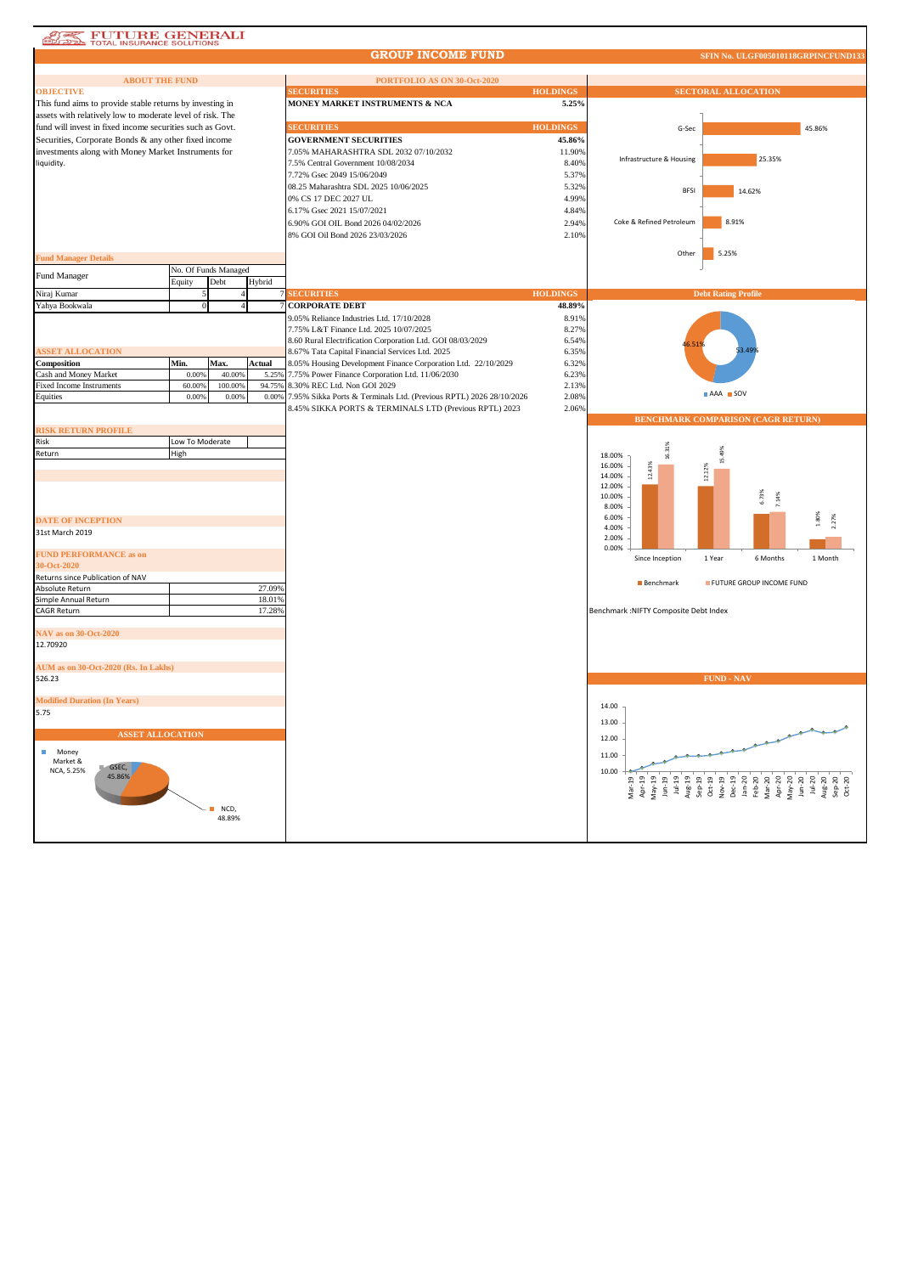## **ASS** FUTURE GENERALI

## **GROUP INCOME FUND**

**SFIN No. ULGF005010118GRPINCFU** 

| <b>ABOUT THE FUND</b>                                     |                 |                      |        | PORTFOLIO AS ON 30-Oct-2020                                        |                 |                                        |                                           |
|-----------------------------------------------------------|-----------------|----------------------|--------|--------------------------------------------------------------------|-----------------|----------------------------------------|-------------------------------------------|
| <b>OBJECTIVE</b>                                          |                 |                      |        | <b>ECURITIES</b>                                                   | <b>HOLDINGS</b> |                                        | <b>SECTORAL ALLOCATION</b>                |
| This fund aims to provide stable returns by investing in  |                 |                      |        | MONEY MARKET INSTRUMENTS & NCA                                     | 5.25%           |                                        |                                           |
| assets with relatively low to moderate level of risk. The |                 |                      |        |                                                                    |                 |                                        |                                           |
| fund will invest in fixed income securities such as Govt. |                 |                      |        | <b>SECURITIES</b>                                                  | <b>HOLDINGS</b> | G-Sec                                  | 45.86%                                    |
| Securities, Corporate Bonds & any other fixed income      |                 |                      |        | <b>GOVERNMENT SECURITIES</b>                                       | 45.86%          |                                        |                                           |
|                                                           |                 |                      |        |                                                                    |                 |                                        |                                           |
| investments along with Money Market Instruments for       |                 |                      |        | 7.05% MAHARASHTRA SDL 2032 07/10/2032                              | 11.90%          | Infrastructure & Housing               | 25.35%                                    |
| liquidity.                                                |                 |                      |        | 7.5% Central Government 10/08/2034                                 | 8.40%           |                                        |                                           |
|                                                           |                 |                      |        | 7.72% Gsec 2049 15/06/2049                                         | 5.37%           |                                        |                                           |
|                                                           |                 |                      |        | 08.25 Maharashtra SDL 2025 10/06/2025                              | 5.32%           | <b>BFSI</b>                            | 14.62%                                    |
|                                                           |                 |                      |        | 0% CS 17 DEC 2027 UL                                               | 4.99%           |                                        |                                           |
|                                                           |                 |                      |        | 6.17% Gsec 2021 15/07/2021                                         | 4.84%           |                                        |                                           |
|                                                           |                 |                      |        |                                                                    |                 | Coke & Refined Petroleum               | 8.91%                                     |
|                                                           |                 |                      |        | 6.90% GOI OIL Bond 2026 04/02/2026                                 | 2.94%           |                                        |                                           |
|                                                           |                 |                      |        | 8% GOI Oil Bond 2026 23/03/2026                                    | 2.10%           |                                        |                                           |
|                                                           |                 |                      |        |                                                                    |                 |                                        |                                           |
| <b>Fund Manager Details</b>                               |                 |                      |        |                                                                    |                 | Other                                  | 5.25%                                     |
|                                                           |                 | No. Of Funds Managed |        |                                                                    |                 |                                        |                                           |
| Fund Manager                                              | Equity          | Debt                 | Hybrid |                                                                    |                 |                                        |                                           |
|                                                           |                 |                      |        |                                                                    |                 |                                        |                                           |
| Niraj Kumar                                               |                 |                      |        | <b>SECURITIES</b>                                                  | <b>HOLDINGS</b> |                                        | <b>Debt Rating Profile</b>                |
| Yahya Bookwala                                            |                 |                      |        | <b>CORPORATE DEBT</b>                                              | 48.89%          |                                        |                                           |
|                                                           |                 |                      |        | 9.05% Reliance Industries Ltd. 17/10/2028                          | 8.91%           |                                        |                                           |
|                                                           |                 |                      |        | 7.75% L&T Finance Ltd. 2025 10/07/2025                             | 8.27%           |                                        |                                           |
|                                                           |                 |                      |        | 8.60 Rural Electrification Corporation Ltd. GOI 08/03/2029         | 6.54%           |                                        |                                           |
| <b>ISSET ALLOCATION</b>                                   |                 |                      |        | 8.67% Tata Capital Financial Services Ltd. 2025                    | 6.35%           |                                        |                                           |
| Composition                                               | Min.            | Max.                 | Actual | 8.05% Housing Development Finance Corporation Ltd. 22/10/2029      | 6.32%           |                                        |                                           |
| Cash and Money Market                                     | 0.00%           | 40.00%               | 5.25%  | 7.75% Power Finance Corporation Ltd. 11/06/2030                    | 6.23%           |                                        |                                           |
|                                                           |                 |                      |        |                                                                    |                 |                                        |                                           |
| <b>Fixed Income Instruments</b>                           | 60.00%          | 100.00%              | 94.75% | 8.30% REC Ltd. Non GOI 2029                                        | 2.13%           |                                        | AAA SOV                                   |
| Equities                                                  | 0.00%           | 0.00%                | 0.00%  | 7.95% Sikka Ports & Terminals Ltd. (Previous RPTL) 2026 28/10/2026 | 2.08%           |                                        |                                           |
|                                                           |                 |                      |        | 8.45% SIKKA PORTS & TERMINALS LTD (Previous RPTL) 2023             | 2.06%           |                                        |                                           |
|                                                           |                 |                      |        |                                                                    |                 |                                        | <b>BENCHMARK COMPARISON (CAGR RETURN)</b> |
| <b>RISK RETURN PROFILE</b>                                |                 |                      |        |                                                                    |                 |                                        |                                           |
| Risk                                                      | Low To Moderate |                      |        |                                                                    |                 |                                        |                                           |
| Return                                                    | High            |                      |        |                                                                    |                 | 16.31%<br>18.00%                       |                                           |
|                                                           |                 |                      |        |                                                                    |                 | 16.00%                                 | š                                         |
|                                                           |                 |                      |        |                                                                    |                 | 12.43%<br>14.00%                       | 12.12%                                    |
|                                                           |                 |                      |        |                                                                    |                 | 12.00%                                 |                                           |
|                                                           |                 |                      |        |                                                                    |                 | 10.00%                                 | 6.73%                                     |
|                                                           |                 |                      |        |                                                                    |                 | 8.00%                                  | 7.14%                                     |
|                                                           |                 |                      |        |                                                                    |                 | 6.00%                                  |                                           |
| <b>DATE OF INCEPTION</b>                                  |                 |                      |        |                                                                    |                 | 4.00%                                  |                                           |
| 31st March 2019                                           |                 |                      |        |                                                                    |                 | 2.00%                                  |                                           |
|                                                           |                 |                      |        |                                                                    |                 | 0.00%                                  |                                           |
| <b>FUND PERFORMANCE as on</b>                             |                 |                      |        |                                                                    |                 | Since Inception                        | 1 Year<br>6 Months<br>1 Month             |
| 30-Oct-2020                                               |                 |                      |        |                                                                    |                 |                                        |                                           |
| Returns since Publication of NAV                          |                 |                      |        |                                                                    |                 |                                        |                                           |
| Absolute Return                                           |                 |                      | 27.09% |                                                                    |                 | <b>Benchmark</b>                       | FUTURE GROUP INCOME FUND                  |
| Simple Annual Return                                      |                 |                      | 18.01% |                                                                    |                 |                                        |                                           |
|                                                           |                 |                      |        |                                                                    |                 |                                        |                                           |
| <b>CAGR Return</b>                                        |                 |                      | 17.28% |                                                                    |                 | Benchmark : NIFTY Composite Debt Index |                                           |
|                                                           |                 |                      |        |                                                                    |                 |                                        |                                           |
| <b>NAV</b> as on 30-Oct-2020                              |                 |                      |        |                                                                    |                 |                                        |                                           |
| 12.70920                                                  |                 |                      |        |                                                                    |                 |                                        |                                           |
|                                                           |                 |                      |        |                                                                    |                 |                                        |                                           |
| AUM as on 30-Oct-2020 (Rs. In Lakhs)                      |                 |                      |        |                                                                    |                 |                                        |                                           |
| 526.23                                                    |                 |                      |        |                                                                    |                 |                                        | <b>FUND - NAV</b>                         |
|                                                           |                 |                      |        |                                                                    |                 |                                        |                                           |
| <b>Modified Duration (In Years)</b>                       |                 |                      |        |                                                                    |                 |                                        |                                           |
| 5.75                                                      |                 |                      |        |                                                                    |                 | 14.00                                  |                                           |
|                                                           |                 |                      |        |                                                                    |                 | 13.00                                  |                                           |
|                                                           |                 |                      |        |                                                                    |                 |                                        |                                           |
| <b>ASSET ALLOCATION</b>                                   |                 |                      |        |                                                                    |                 | 12.00                                  |                                           |
| ш<br>Money                                                |                 |                      |        |                                                                    |                 |                                        |                                           |
| Market &                                                  |                 |                      |        |                                                                    |                 | 11.00                                  |                                           |
| GSEC,<br>NCA, 5.25%                                       |                 |                      |        |                                                                    |                 | 10.00                                  |                                           |
| 45.86%                                                    |                 |                      |        |                                                                    |                 |                                        |                                           |
|                                                           |                 |                      |        |                                                                    |                 |                                        |                                           |
|                                                           |                 |                      |        |                                                                    |                 |                                        |                                           |
|                                                           |                 | NCD,                 |        |                                                                    |                 |                                        |                                           |
|                                                           |                 | 48.89%               |        |                                                                    |                 |                                        |                                           |
|                                                           |                 |                      |        |                                                                    |                 |                                        |                                           |
|                                                           |                 |                      |        |                                                                    |                 |                                        |                                           |